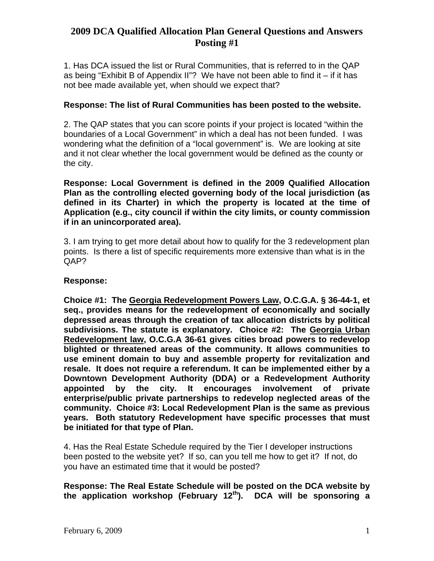1. Has DCA issued the list or Rural Communities, that is referred to in the QAP as being "Exhibit B of Appendix II"? We have not been able to find it – if it has not bee made available yet, when should we expect that?

# **Response: The list of Rural Communities has been posted to the website.**

2. The QAP states that you can score points if your project is located "within the boundaries of a Local Government" in which a deal has not been funded. I was wondering what the definition of a "local government" is. We are looking at site and it not clear whether the local government would be defined as the county or the city.

**Response: Local Government is defined in the 2009 Qualified Allocation Plan as the controlling elected governing body of the local jurisdiction (as defined in its Charter) in which the property is located at the time of Application (e.g., city council if within the city limits, or county commission if in an unincorporated area).**

3. I am trying to get more detail about how to qualify for the 3 redevelopment plan points. Is there a list of specific requirements more extensive than what is in the QAP?

## **Response:**

**Choice #1: The Georgia Redevelopment Powers Law, O.C.G.A. § 36-44-1, et seq., provides means for the redevelopment of economically and socially depressed areas through the creation of tax allocation districts by political subdivisions. The statute is explanatory. Choice #2: The Georgia Urban Redevelopment law, O.C.G.A 36-61 gives cities broad powers to redevelop blighted or threatened areas of the community. It allows communities to use eminent domain to buy and assemble property for revitalization and resale. It does not require a referendum. It can be implemented either by a Downtown Development Authority (DDA) or a Redevelopment Authority appointed by the city. It encourages involvement of private enterprise/public private partnerships to redevelop neglected areas of the community. Choice #3: Local Redevelopment Plan is the same as previous years. Both statutory Redevelopment have specific processes that must be initiated for that type of Plan.** 

4. Has the Real Estate Schedule required by the Tier I developer instructions been posted to the website yet? If so, can you tell me how to get it? If not, do you have an estimated time that it would be posted?

**Response: The Real Estate Schedule will be posted on the DCA website by the application workshop (February 12th). DCA will be sponsoring a**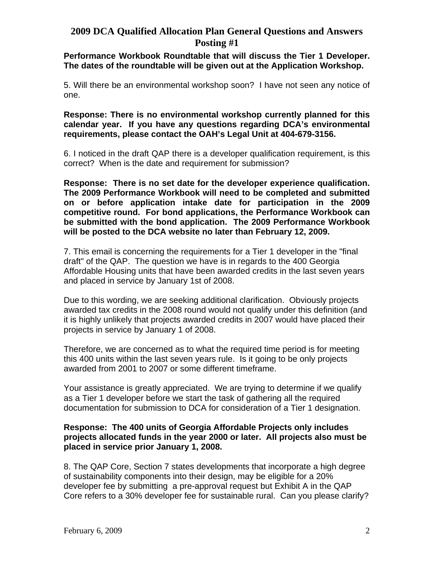## **Performance Workbook Roundtable that will discuss the Tier 1 Developer. The dates of the roundtable will be given out at the Application Workshop.**

5. Will there be an environmental workshop soon? I have not seen any notice of one.

**Response: There is no environmental workshop currently planned for this calendar year. If you have any questions regarding DCA's environmental requirements, please contact the OAH's Legal Unit at 404-679-3156.** 

6. I noticed in the draft QAP there is a developer qualification requirement, is this correct? When is the date and requirement for submission?

**Response: There is no set date for the developer experience qualification. The 2009 Performance Workbook will need to be completed and submitted on or before application intake date for participation in the 2009 competitive round. For bond applications, the Performance Workbook can be submitted with the bond application. The 2009 Performance Workbook will be posted to the DCA website no later than February 12, 2009.** 

7. This email is concerning the requirements for a Tier 1 developer in the "final draft" of the QAP. The question we have is in regards to the 400 Georgia Affordable Housing units that have been awarded credits in the last seven years and placed in service by January 1st of 2008.

Due to this wording, we are seeking additional clarification. Obviously projects awarded tax credits in the 2008 round would not qualify under this definition (and it is highly unlikely that projects awarded credits in 2007 would have placed their projects in service by January 1 of 2008.

Therefore, we are concerned as to what the required time period is for meeting this 400 units within the last seven years rule. Is it going to be only projects awarded from 2001 to 2007 or some different timeframe.

Your assistance is greatly appreciated. We are trying to determine if we qualify as a Tier 1 developer before we start the task of gathering all the required documentation for submission to DCA for consideration of a Tier 1 designation.

## **Response: The 400 units of Georgia Affordable Projects only includes projects allocated funds in the year 2000 or later. All projects also must be placed in service prior January 1, 2008.**

8. The QAP Core, Section 7 states developments that incorporate a high degree of sustainability components into their design, may be eligible for a 20% developer fee by submitting a pre-approval request but Exhibit A in the QAP Core refers to a 30% developer fee for sustainable rural. Can you please clarify?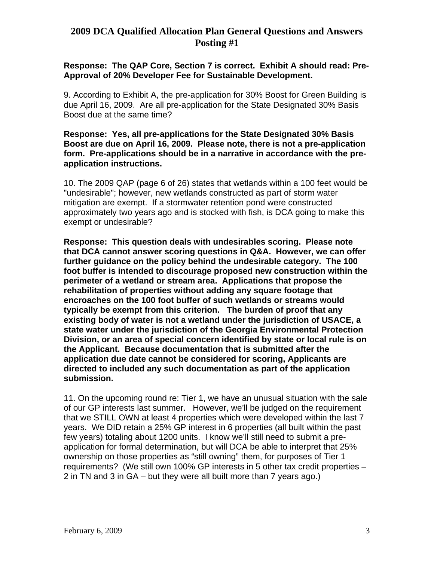# **Response: The QAP Core, Section 7 is correct. Exhibit A should read: Pre-Approval of 20% Developer Fee for Sustainable Development.**

9. According to Exhibit A, the pre-application for 30% Boost for Green Building is due April 16, 2009. Are all pre-application for the State Designated 30% Basis Boost due at the same time?

## **Response: Yes, all pre-applications for the State Designated 30% Basis Boost are due on April 16, 2009. Please note, there is not a pre-application form. Pre-applications should be in a narrative in accordance with the preapplication instructions.**

10. The 2009 QAP (page 6 of 26) states that wetlands within a 100 feet would be "undesirable"; however, new wetlands constructed as part of storm water mitigation are exempt. If a stormwater retention pond were constructed approximately two years ago and is stocked with fish, is DCA going to make this exempt or undesirable?

**Response: This question deals with undesirables scoring. Please note that DCA cannot answer scoring questions in Q&A. However, we can offer further guidance on the policy behind the undesirable category. The 100 foot buffer is intended to discourage proposed new construction within the perimeter of a wetland or stream area. Applications that propose the rehabilitation of properties without adding any square footage that encroaches on the 100 foot buffer of such wetlands or streams would typically be exempt from this criterion. The burden of proof that any existing body of water is not a wetland under the jurisdiction of USACE, a state water under the jurisdiction of the Georgia Environmental Protection Division, or an area of special concern identified by state or local rule is on the Applicant. Because documentation that is submitted after the application due date cannot be considered for scoring, Applicants are directed to included any such documentation as part of the application submission.** 

11. On the upcoming round re: Tier 1, we have an unusual situation with the sale of our GP interests last summer. However, we'll be judged on the requirement that we STILL OWN at least 4 properties which were developed within the last 7 years. We DID retain a 25% GP interest in 6 properties (all built within the past few years) totaling about 1200 units. I know we'll still need to submit a preapplication for formal determination, but will DCA be able to interpret that 25% ownership on those properties as "still owning" them, for purposes of Tier 1 requirements? (We still own 100% GP interests in 5 other tax credit properties – 2 in TN and 3 in GA – but they were all built more than 7 years ago.)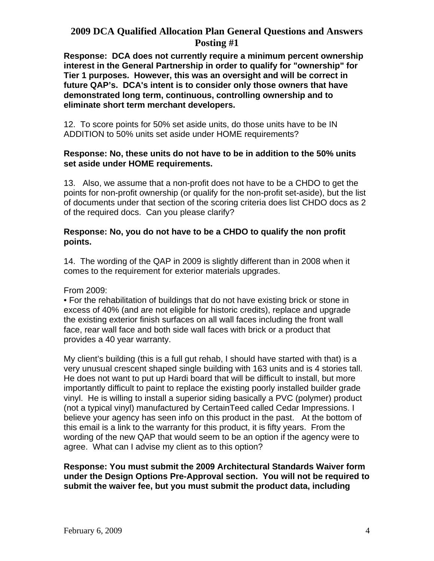**Response: DCA does not currently require a minimum percent ownership interest in the General Partnership in order to qualify for "ownership" for Tier 1 purposes. However, this was an oversight and will be correct in future QAP's. DCA's intent is to consider only those owners that have demonstrated long term, continuous, controlling ownership and to eliminate short term merchant developers.** 

12. To score points for 50% set aside units, do those units have to be IN ADDITION to 50% units set aside under HOME requirements?

### **Response: No, these units do not have to be in addition to the 50% units set aside under HOME requirements.**

13. Also, we assume that a non-profit does not have to be a CHDO to get the points for non-profit ownership (or qualify for the non-profit set-aside), but the list of documents under that section of the scoring criteria does list CHDO docs as 2 of the required docs. Can you please clarify?

## **Response: No, you do not have to be a CHDO to qualify the non profit points.**

14. The wording of the QAP in 2009 is slightly different than in 2008 when it comes to the requirement for exterior materials upgrades.

From 2009:

• For the rehabilitation of buildings that do not have existing brick or stone in excess of 40% (and are not eligible for historic credits), replace and upgrade the existing exterior finish surfaces on all wall faces including the front wall face, rear wall face and both side wall faces with brick or a product that provides a 40 year warranty.

My client's building (this is a full gut rehab, I should have started with that) is a very unusual crescent shaped single building with 163 units and is 4 stories tall. He does not want to put up Hardi board that will be difficult to install, but more importantly difficult to paint to replace the existing poorly installed builder grade vinyl. He is willing to install a superior siding basically a PVC (polymer) product (not a typical vinyl) manufactured by CertainTeed called Cedar Impressions. I believe your agency has seen info on this product in the past. At the bottom of this email is a link to the warranty for this product, it is fifty years. From the wording of the new QAP that would seem to be an option if the agency were to agree. What can I advise my client as to this option?

**Response: You must submit the 2009 Architectural Standards Waiver form under the Design Options Pre-Approval section. You will not be required to submit the waiver fee, but you must submit the product data, including**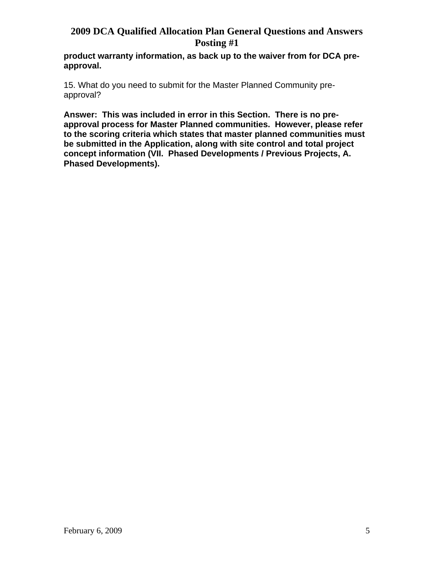**product warranty information, as back up to the waiver from for DCA preapproval.** 

15. What do you need to submit for the Master Planned Community preapproval?

**Answer: This was included in error in this Section. There is no preapproval process for Master Planned communities. However, please refer to the scoring criteria which states that master planned communities must be submitted in the Application, along with site control and total project concept information (VII. Phased Developments / Previous Projects, A. Phased Developments).**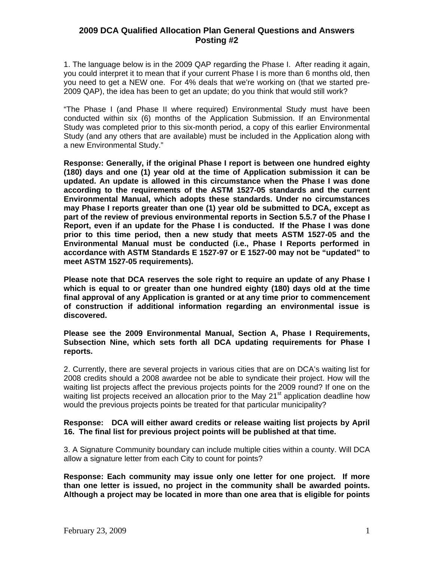1. The language below is in the 2009 QAP regarding the Phase I. After reading it again, you could interpret it to mean that if your current Phase I is more than 6 months old, then you need to get a NEW one. For 4% deals that we're working on (that we started pre-2009 QAP), the idea has been to get an update; do you think that would still work?

"The Phase I (and Phase II where required) Environmental Study must have been conducted within six (6) months of the Application Submission. If an Environmental Study was completed prior to this six-month period, a copy of this earlier Environmental Study (and any others that are available) must be included in the Application along with a new Environmental Study."

**Response: Generally, if the original Phase I report is between one hundred eighty (180) days and one (1) year old at the time of Application submission it can be updated. An update is allowed in this circumstance when the Phase I was done according to the requirements of the ASTM 1527-05 standards and the current Environmental Manual, which adopts these standards. Under no circumstances may Phase I reports greater than one (1) year old be submitted to DCA, except as part of the review of previous environmental reports in Section 5.5.7 of the Phase I Report, even if an update for the Phase I is conducted. If the Phase I was done prior to this time period, then a new study that meets ASTM 1527-05 and the Environmental Manual must be conducted (i.e., Phase I Reports performed in accordance with ASTM Standards E 1527-97 or E 1527-00 may not be "updated" to meet ASTM 1527-05 requirements).** 

**Please note that DCA reserves the sole right to require an update of any Phase I which is equal to or greater than one hundred eighty (180) days old at the time final approval of any Application is granted or at any time prior to commencement of construction if additional information regarding an environmental issue is discovered.** 

#### **Please see the 2009 Environmental Manual, Section A, Phase I Requirements, Subsection Nine, which sets forth all DCA updating requirements for Phase I reports.**

2. Currently, there are several projects in various cities that are on DCA's waiting list for 2008 credits should a 2008 awardee not be able to syndicate their project. How will the waiting list projects affect the previous projects points for the 2009 round? If one on the waiting list projects received an allocation prior to the May 21<sup>st</sup> application deadline how would the previous projects points be treated for that particular municipality?

#### **Response: DCA will either award credits or release waiting list projects by April 16. The final list for previous project points will be published at that time.**

3. A Signature Community boundary can include multiple cities within a county. Will DCA allow a signature letter from each City to count for points?

**Response: Each community may issue only one letter for one project. If more than one letter is issued, no project in the community shall be awarded points. Although a project may be located in more than one area that is eligible for points**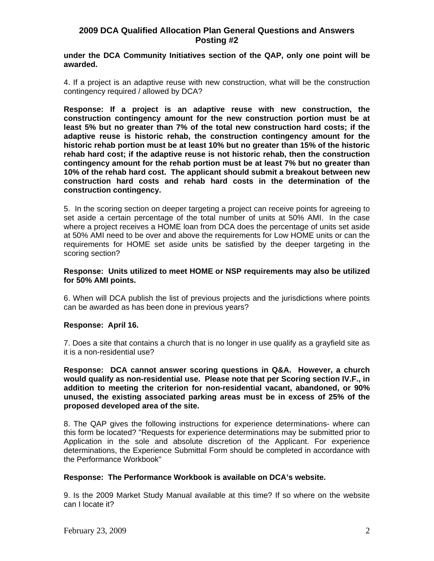#### **under the DCA Community Initiatives section of the QAP, only one point will be awarded.**

4. If a project is an adaptive reuse with new construction, what will be the construction contingency required / allowed by DCA?

**Response: If a project is an adaptive reuse with new construction, the construction contingency amount for the new construction portion must be at least 5% but no greater than 7% of the total new construction hard costs; if the adaptive reuse is historic rehab, the construction contingency amount for the historic rehab portion must be at least 10% but no greater than 15% of the historic rehab hard cost; if the adaptive reuse is not historic rehab, then the construction contingency amount for the rehab portion must be at least 7% but no greater than 10% of the rehab hard cost. The applicant should submit a breakout between new construction hard costs and rehab hard costs in the determination of the construction contingency.** 

5. In the scoring section on deeper targeting a project can receive points for agreeing to set aside a certain percentage of the total number of units at 50% AMI. In the case where a project receives a HOME loan from DCA does the percentage of units set aside at 50% AMI need to be over and above the requirements for Low HOME units or can the requirements for HOME set aside units be satisfied by the deeper targeting in the scoring section?

#### **Response: Units utilized to meet HOME or NSP requirements may also be utilized for 50% AMI points.**

6. When will DCA publish the list of previous projects and the jurisdictions where points can be awarded as has been done in previous years?

#### **Response: April 16.**

7. Does a site that contains a church that is no longer in use qualify as a grayfield site as it is a non-residential use?

**Response: DCA cannot answer scoring questions in Q&A. However, a church would qualify as non-residential use. Please note that per Scoring section IV.F., in addition to meeting the criterion for non-residential vacant, abandoned, or 90% unused, the existing associated parking areas must be in excess of 25% of the proposed developed area of the site.** 

8. The QAP gives the following instructions for experience determinations- where can this form be located? "Requests for experience determinations may be submitted prior to Application in the sole and absolute discretion of the Applicant. For experience determinations, the Experience Submittal Form should be completed in accordance with the Performance Workbook"

#### **Response: The Performance Workbook is available on DCA's website.**

9. Is the 2009 Market Study Manual available at this time? If so where on the website can I locate it?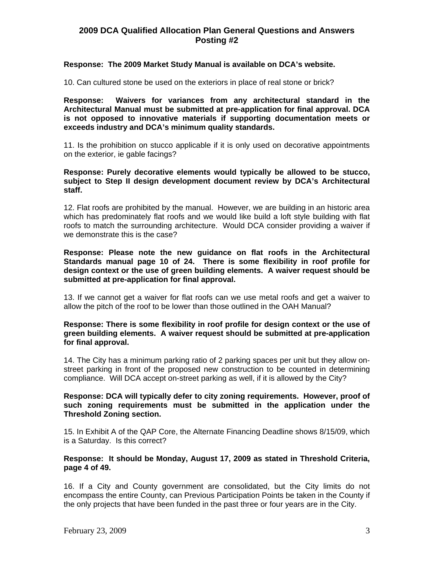#### **Response: The 2009 Market Study Manual is available on DCA's website.**

10. Can cultured stone be used on the exteriors in place of real stone or brick?

**Response: Waivers for variances from any architectural standard in the Architectural Manual must be submitted at pre-application for final approval. DCA is not opposed to innovative materials if supporting documentation meets or exceeds industry and DCA's minimum quality standards.** 

11. Is the prohibition on stucco applicable if it is only used on decorative appointments on the exterior, ie gable facings?

#### **Response: Purely decorative elements would typically be allowed to be stucco, subject to Step II design development document review by DCA's Architectural staff.**

12. Flat roofs are prohibited by the manual. However, we are building in an historic area which has predominately flat roofs and we would like build a loft style building with flat roofs to match the surrounding architecture. Would DCA consider providing a waiver if we demonstrate this is the case?

**Response: Please note the new guidance on flat roofs in the Architectural Standards manual page 10 of 24. There is some flexibility in roof profile for design context or the use of green building elements. A waiver request should be submitted at pre-application for final approval.** 

13. If we cannot get a waiver for flat roofs can we use metal roofs and get a waiver to allow the pitch of the roof to be lower than those outlined in the OAH Manual?

#### **Response: There is some flexibility in roof profile for design context or the use of green building elements. A waiver request should be submitted at pre-application for final approval.**

14. The City has a minimum parking ratio of 2 parking spaces per unit but they allow onstreet parking in front of the proposed new construction to be counted in determining compliance. Will DCA accept on-street parking as well, if it is allowed by the City?

#### **Response: DCA will typically defer to city zoning requirements. However, proof of such zoning requirements must be submitted in the application under the Threshold Zoning section.**

15. In Exhibit A of the QAP Core, the Alternate Financing Deadline shows 8/15/09, which is a Saturday. Is this correct?

#### **Response: It should be Monday, August 17, 2009 as stated in Threshold Criteria, page 4 of 49.**

16. If a City and County government are consolidated, but the City limits do not encompass the entire County, can Previous Participation Points be taken in the County if the only projects that have been funded in the past three or four years are in the City.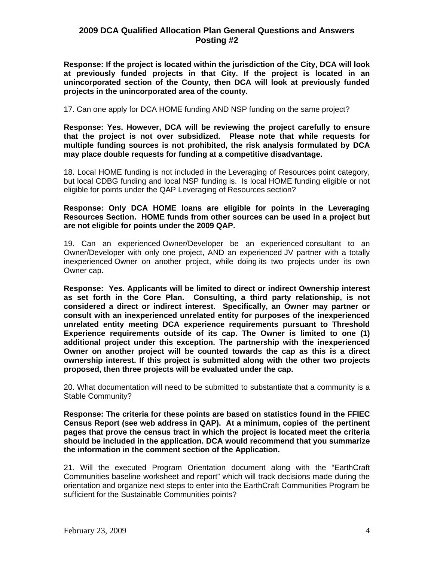**Response: If the project is located within the jurisdiction of the City, DCA will look at previously funded projects in that City. If the project is located in an unincorporated section of the County, then DCA will look at previously funded projects in the unincorporated area of the county.**

17. Can one apply for DCA HOME funding AND NSP funding on the same project?

**Response: Yes. However, DCA will be reviewing the project carefully to ensure that the project is not over subsidized. Please note that while requests for multiple funding sources is not prohibited, the risk analysis formulated by DCA may place double requests for funding at a competitive disadvantage.** 

18. Local HOME funding is not included in the Leveraging of Resources point category, but local CDBG funding and local NSP funding is. Is local HOME funding eligible or not eligible for points under the QAP Leveraging of Resources section?

#### **Response: Only DCA HOME loans are eligible for points in the Leveraging Resources Section. HOME funds from other sources can be used in a project but are not eligible for points under the 2009 QAP.**

19. Can an experienced Owner/Developer be an experienced consultant to an Owner/Developer with only one project, AND an experienced JV partner with a totally inexperienced Owner on another project, while doing its two projects under its own Owner cap.

**Response: Yes. Applicants will be limited to direct or indirect Ownership interest as set forth in the Core Plan. Consulting, a third party relationship, is not considered a direct or indirect interest. Specifically, an Owner may partner or consult with an inexperienced unrelated entity for purposes of the inexperienced unrelated entity meeting DCA experience requirements pursuant to Threshold Experience requirements outside of its cap. The Owner is limited to one (1) additional project under this exception. The partnership with the inexperienced Owner on another project will be counted towards the cap as this is a direct ownership interest. If this project is submitted along with the other two projects proposed, then three projects will be evaluated under the cap.** 

20. What documentation will need to be submitted to substantiate that a community is a Stable Community?

**Response: The criteria for these points are based on statistics found in the FFIEC Census Report (see web address in QAP). At a minimum, copies of the pertinent pages that prove the census tract in which the project is located meet the criteria should be included in the application. DCA would recommend that you summarize the information in the comment section of the Application.** 

21. Will the executed Program Orientation document along with the "EarthCraft Communities baseline worksheet and report" which will track decisions made during the orientation and organize next steps to enter into the EarthCraft Communities Program be sufficient for the Sustainable Communities points?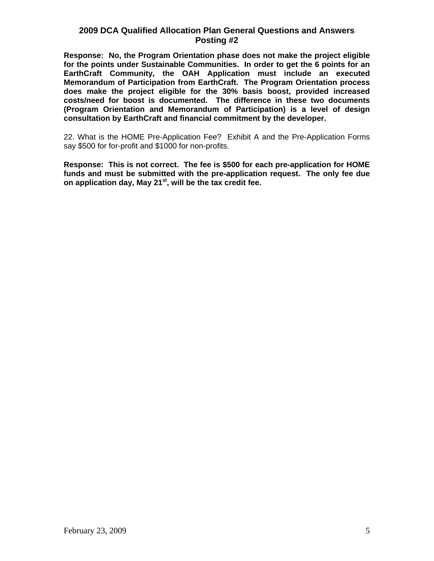**Response: No, the Program Orientation phase does not make the project eligible for the points under Sustainable Communities. In order to get the 6 points for an EarthCraft Community, the OAH Application must include an executed Memorandum of Participation from EarthCraft. The Program Orientation process does make the project eligible for the 30% basis boost, provided increased costs/need for boost is documented. The difference in these two documents (Program Orientation and Memorandum of Participation) is a level of design consultation by EarthCraft and financial commitment by the developer.** 

22. What is the HOME Pre-Application Fee? Exhibit A and the Pre-Application Forms say \$500 for for-profit and \$1000 for non-profits.

**Response: This is not correct. The fee is \$500 for each pre-application for HOME funds and must be submitted with the pre-application request. The only fee due on application day, May 21st, will be the tax credit fee.**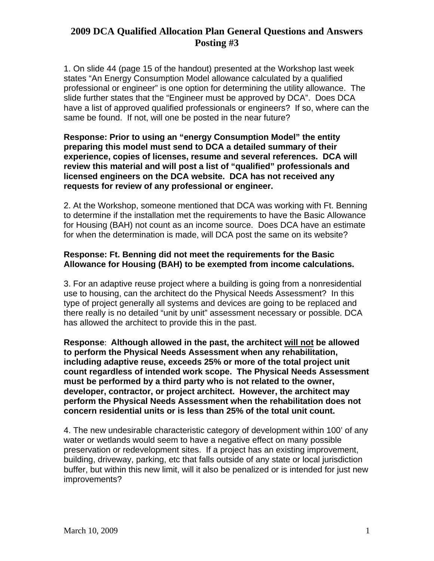1. On slide 44 (page 15 of the handout) presented at the Workshop last week states "An Energy Consumption Model allowance calculated by a qualified professional or engineer" is one option for determining the utility allowance. The slide further states that the "Engineer must be approved by DCA". Does DCA have a list of approved qualified professionals or engineers? If so, where can the same be found. If not, will one be posted in the near future?

**Response: Prior to using an "energy Consumption Model" the entity preparing this model must send to DCA a detailed summary of their experience, copies of licenses, resume and several references. DCA will review this material and will post a list of "qualified" professionals and licensed engineers on the DCA website. DCA has not received any requests for review of any professional or engineer.** 

2. At the Workshop, someone mentioned that DCA was working with Ft. Benning to determine if the installation met the requirements to have the Basic Allowance for Housing (BAH) not count as an income source. Does DCA have an estimate for when the determination is made, will DCA post the same on its website?

# **Response: Ft. Benning did not meet the requirements for the Basic Allowance for Housing (BAH) to be exempted from income calculations.**

3. For an adaptive reuse project where a building is going from a nonresidential use to housing, can the architect do the Physical Needs Assessment? In this type of project generally all systems and devices are going to be replaced and there really is no detailed "unit by unit" assessment necessary or possible. DCA has allowed the architect to provide this in the past.

**Response**: **Although allowed in the past, the architect will not be allowed to perform the Physical Needs Assessment when any rehabilitation, including adaptive reuse, exceeds 25% or more of the total project unit count regardless of intended work scope. The Physical Needs Assessment must be performed by a third party who is not related to the owner, developer, contractor, or project architect. However, the architect may perform the Physical Needs Assessment when the rehabilitation does not concern residential units or is less than 25% of the total unit count.** 

4. The new undesirable characteristic category of development within 100' of any water or wetlands would seem to have a negative effect on many possible preservation or redevelopment sites. If a project has an existing improvement, building, driveway, parking, etc that falls outside of any state or local jurisdiction buffer, but within this new limit, will it also be penalized or is intended for just new improvements?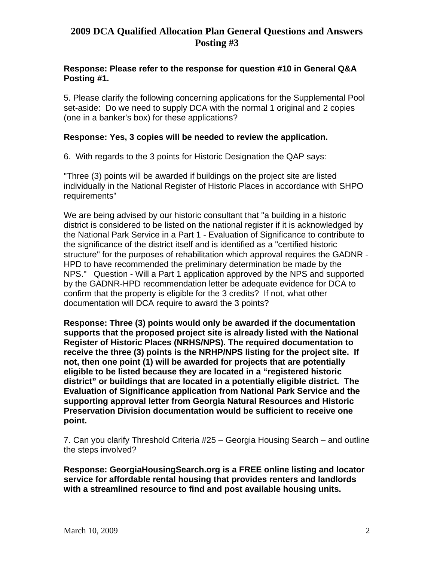# **Response: Please refer to the response for question #10 in General Q&A Posting #1.**

5. Please clarify the following concerning applications for the Supplemental Pool set-aside: Do we need to supply DCA with the normal 1 original and 2 copies (one in a banker's box) for these applications?

# **Response: Yes, 3 copies will be needed to review the application.**

6. With regards to the 3 points for Historic Designation the QAP says:

"Three (3) points will be awarded if buildings on the project site are listed individually in the National Register of Historic Places in accordance with SHPO requirements"

We are being advised by our historic consultant that "a building in a historic district is considered to be listed on the national register if it is acknowledged by the National Park Service in a Part 1 - Evaluation of Significance to contribute to the significance of the district itself and is identified as a "certified historic structure" for the purposes of rehabilitation which approval requires the GADNR - HPD to have recommended the preliminary determination be made by the NPS." Question - Will a Part 1 application approved by the NPS and supported by the GADNR-HPD recommendation letter be adequate evidence for DCA to confirm that the property is eligible for the 3 credits? If not, what other documentation will DCA require to award the 3 points?

**Response: Three (3) points would only be awarded if the documentation supports that the proposed project site is already listed with the National Register of Historic Places (NRHS/NPS). The required documentation to receive the three (3) points is the NRHP/NPS listing for the project site. If not, then one point (1) will be awarded for projects that are potentially eligible to be listed because they are located in a "registered historic district" or buildings that are located in a potentially eligible district. The Evaluation of Significance application from National Park Service and the supporting approval letter from Georgia Natural Resources and Historic Preservation Division documentation would be sufficient to receive one point.** 

7. Can you clarify Threshold Criteria #25 – Georgia Housing Search – and outline the steps involved?

**Response: GeorgiaHousingSearch.org is a FREE online listing and locator service for affordable rental housing that provides renters and landlords with a streamlined resource to find and post available housing units.**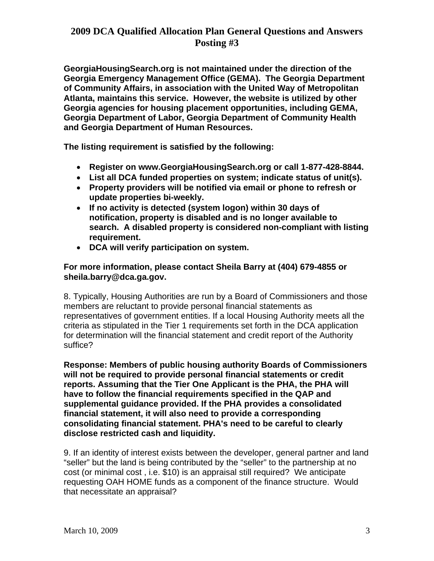**GeorgiaHousingSearch.org is not maintained under the direction of the Georgia Emergency Management Office (GEMA). The Georgia Department of Community Affairs, in association with the United Way of Metropolitan Atlanta, maintains this service. However, the website is utilized by other Georgia agencies for housing placement opportunities, including GEMA, Georgia Department of Labor, Georgia Department of Community Health and Georgia Department of Human Resources.** 

**The listing requirement is satisfied by the following:** 

- **Register on [www.GeorgiaHousingSearch.org](http://www.georgiahousingsearch.org/) or call 1-877-428-8844.**
- **List all DCA funded properties on system; indicate status of unit(s).**
- **Property providers will be notified via email or phone to refresh or update properties bi-weekly.**
- **If no activity is detected (system logon) within 30 days of notification, property is disabled and is no longer available to search. A disabled property is considered non-compliant with listing requirement.**
- **DCA will verify participation on system.**

**For more information, please contact Sheila Barry at (404) 679-4855 or [sheila.barry@dca.ga.gov.](mailto:sheila.barry@dca.ga.gov)** 

8. Typically, Housing Authorities are run by a Board of Commissioners and those members are reluctant to provide personal financial statements as representatives of government entities. If a local Housing Authority meets all the criteria as stipulated in the Tier 1 requirements set forth in the DCA application for determination will the financial statement and credit report of the Authority suffice?

**Response: Members of public housing authority Boards of Commissioners will not be required to provide personal financial statements or credit reports. Assuming that the Tier One Applicant is the PHA, the PHA will have to follow the financial requirements specified in the QAP and supplemental guidance provided. If the PHA provides a consolidated financial statement, it will also need to provide a corresponding consolidating financial statement. PHA's need to be careful to clearly disclose restricted cash and liquidity.** 

9. If an identity of interest exists between the developer, general partner and land "seller" but the land is being contributed by the "seller" to the partnership at no cost (or minimal cost , i.e. \$10) is an appraisal still required? We anticipate requesting OAH HOME funds as a component of the finance structure. Would that necessitate an appraisal?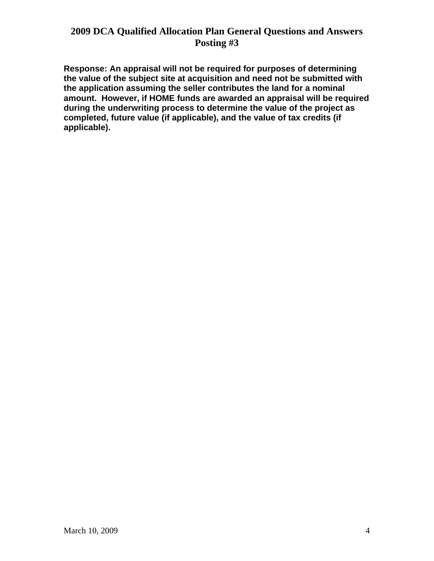**Response: An appraisal will not be required for purposes of determining the value of the subject site at acquisition and need not be submitted with the application assuming the seller contributes the land for a nominal amount. However, if HOME funds are awarded an appraisal will be required during the underwriting process to determine the value of the project as completed, future value (if applicable), and the value of tax credits (if applicable).**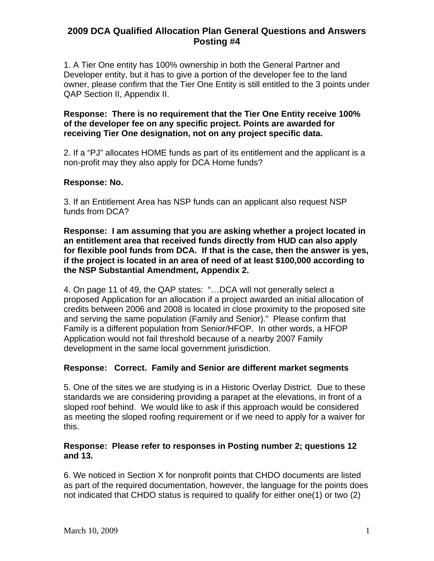1. A Tier One entity has 100% ownership in both the General Partner and Developer entity, but it has to give a portion of the developer fee to the land owner, please confirm that the Tier One Entity is still entitled to the 3 points under QAP Section II, Appendix II.

**Response: There is no requirement that the Tier One Entity receive 100% of the developer fee on any specific project. Points are awarded for receiving Tier One designation, not on any project specific data.** 

2. If a "PJ" allocates HOME funds as part of its entitlement and the applicant is a non-profit may they also apply for DCA Home funds?

## **Response: No.**

3. If an Entitlement Area has NSP funds can an applicant also request NSP funds from DCA?

**Response: I am assuming that you are asking whether a project located in an entitlement area that received funds directly from HUD can also apply for flexible pool funds from DCA. If that is the case, then the answer is yes, if the project is located in an area of need of at least \$100,000 according to the NSP Substantial Amendment, Appendix 2.** 

4. On page 11 of 49, the QAP states: "…DCA will not generally select a proposed Application for an allocation if a project awarded an initial allocation of credits between 2006 and 2008 is located in close proximity to the proposed site and serving the same population (Family and Senior)." Please confirm that Family is a different population from Senior/HFOP. In other words, a HFOP Application would not fail threshold because of a nearby 2007 Family development in the same local government jurisdiction.

## **Response: Correct. Family and Senior are different market segments**

5. One of the sites we are studying is in a Historic Overlay District. Due to these standards we are considering providing a parapet at the elevations, in front of a sloped roof behind. We would like to ask if this approach would be considered as meeting the sloped roofing requirement or if we need to apply for a waiver for this.

## **Response: Please refer to responses in Posting number 2; questions 12 and 13.**

6. We noticed in Section X for nonprofit points that CHDO documents are listed as part of the required documentation, however, the language for the points does not indicated that CHDO status is required to qualify for either one(1) or two (2)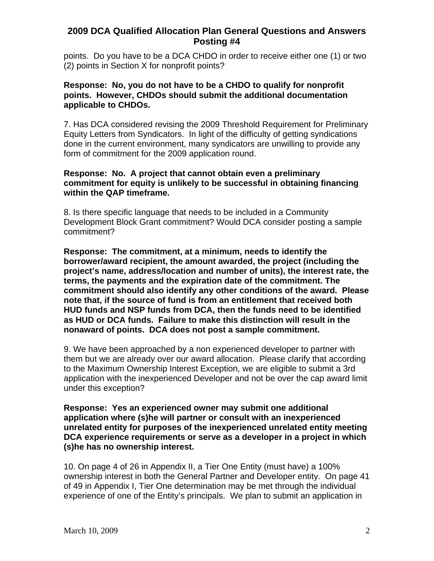points. Do you have to be a DCA CHDO in order to receive either one (1) or two (2) points in Section X for nonprofit points?

### **Response: No, you do not have to be a CHDO to qualify for nonprofit points. However, CHDOs should submit the additional documentation applicable to CHDOs.**

7. Has DCA considered revising the 2009 Threshold Requirement for Preliminary Equity Letters from Syndicators. In light of the difficulty of getting syndications done in the current environment, many syndicators are unwilling to provide any form of commitment for the 2009 application round.

### **Response: No. A project that cannot obtain even a preliminary commitment for equity is unlikely to be successful in obtaining financing within the QAP timeframe.**

8. Is there specific language that needs to be included in a Community Development Block Grant commitment? Would DCA consider posting a sample commitment?

**Response: The commitment, at a minimum, needs to identify the borrower/award recipient, the amount awarded, the project (including the project's name, address/location and number of units), the interest rate, the terms, the payments and the expiration date of the commitment. The commitment should also identify any other conditions of the award. Please note that, if the source of fund is from an entitlement that received both HUD funds and NSP funds from DCA, then the funds need to be identified as HUD or DCA funds. Failure to make this distinction will result in the nonaward of points. DCA does not post a sample commitment.** 

9. We have been approached by a non experienced developer to partner with them but we are already over our award allocation. Please clarify that according to the Maximum Ownership Interest Exception, we are eligible to submit a 3rd application with the inexperienced Developer and not be over the cap award limit under this exception?

**Response: Yes an experienced owner may submit one additional application where (s)he will partner or consult with an inexperienced unrelated entity for purposes of the inexperienced unrelated entity meeting DCA experience requirements or serve as a developer in a project in which (s)he has no ownership interest.** 

10. On page 4 of 26 in Appendix II, a Tier One Entity (must have) a 100% ownership interest in both the General Partner and Developer entity. On page 41 of 49 in Appendix I, Tier One determination may be met through the individual experience of one of the Entity's principals. We plan to submit an application in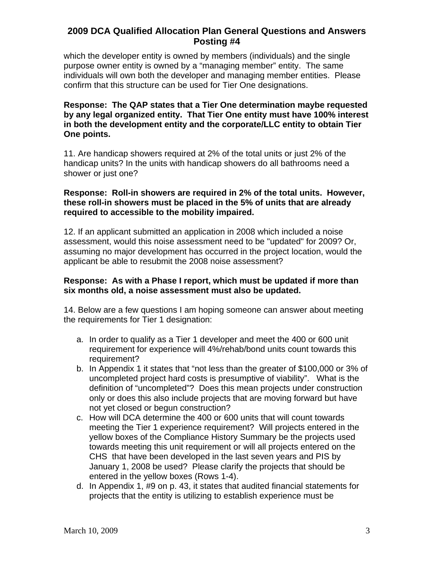which the developer entity is owned by members (individuals) and the single purpose owner entity is owned by a "managing member" entity. The same individuals will own both the developer and managing member entities. Please confirm that this structure can be used for Tier One designations.

# **Response: The QAP states that a Tier One determination maybe requested by any legal organized entity. That Tier One entity must have 100% interest in both the development entity and the corporate/LLC entity to obtain Tier One points.**

11. Are handicap showers required at 2% of the total units or just 2% of the handicap units? In the units with handicap showers do all bathrooms need a shower or just one?

## **Response: Roll-in showers are required in 2% of the total units. However, these roll-in showers must be placed in the 5% of units that are already required to accessible to the mobility impaired.**

12. If an applicant submitted an application in 2008 which included a noise assessment, would this noise assessment need to be "updated" for 2009? Or, assuming no major development has occurred in the project location, would the applicant be able to resubmit the 2008 noise assessment?

## **Response: As with a Phase I report, which must be updated if more than six months old, a noise assessment must also be updated.**

14. Below are a few questions I am hoping someone can answer about meeting the requirements for Tier 1 designation:

- a. In order to qualify as a Tier 1 developer and meet the 400 or 600 unit requirement for experience will 4%/rehab/bond units count towards this requirement?
- b. In Appendix 1 it states that "not less than the greater of \$100,000 or 3% of uncompleted project hard costs is presumptive of viability". What is the definition of "uncompleted"? Does this mean projects under construction only or does this also include projects that are moving forward but have not yet closed or begun construction?
- c. How will DCA determine the 400 or 600 units that will count towards meeting the Tier 1 experience requirement? Will projects entered in the yellow boxes of the Compliance History Summary be the projects used towards meeting this unit requirement or will all projects entered on the CHS that have been developed in the last seven years and PIS by January 1, 2008 be used? Please clarify the projects that should be entered in the yellow boxes (Rows 1-4).
- d. In Appendix 1, #9 on p. 43, it states that audited financial statements for projects that the entity is utilizing to establish experience must be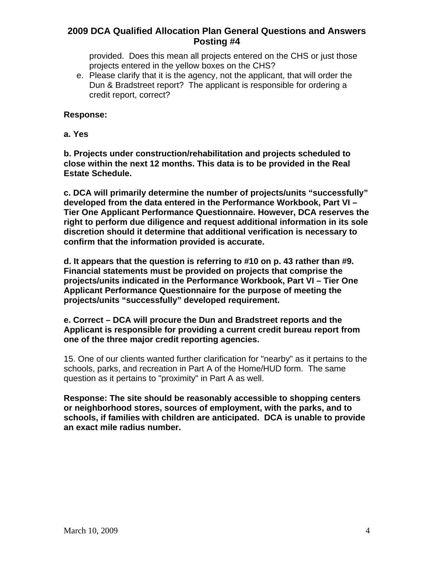provided. Does this mean all projects entered on the CHS or just those projects entered in the yellow boxes on the CHS?

e. Please clarify that it is the agency, not the applicant, that will order the Dun & Bradstreet report? The applicant is responsible for ordering a credit report, correct?

### **Response:**

**a. Yes** 

**b. Projects under construction/rehabilitation and projects scheduled to close within the next 12 months. This data is to be provided in the Real Estate Schedule.** 

**c. DCA will primarily determine the number of projects/units "successfully" developed from the data entered in the Performance Workbook, Part VI – Tier One Applicant Performance Questionnaire. However, DCA reserves the right to perform due diligence and request additional information in its sole discretion should it determine that additional verification is necessary to confirm that the information provided is accurate.** 

**d. It appears that the question is referring to #10 on p. 43 rather than #9. Financial statements must be provided on projects that comprise the projects/units indicated in the Performance Workbook, Part VI – Tier One Applicant Performance Questionnaire for the purpose of meeting the projects/units "successfully" developed requirement.** 

### **e. Correct – DCA will procure the Dun and Bradstreet reports and the Applicant is responsible for providing a current credit bureau report from one of the three major credit reporting agencies.**

15. One of our clients wanted further clarification for "nearby" as it pertains to the schools, parks, and recreation in Part A of the Home/HUD form. The same question as it pertains to "proximity" in Part A as well.

**Response: The site should be reasonably accessible to shopping centers or neighborhood stores, sources of employment, with the parks, and to schools, if families with children are anticipated. DCA is unable to provide an exact mile radius number.**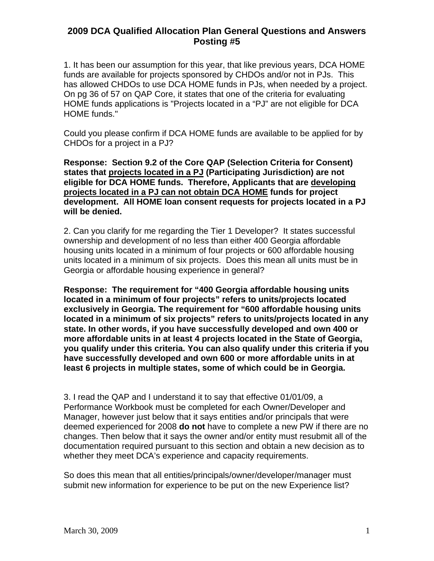1. It has been our assumption for this year, that like previous years, DCA HOME funds are available for projects sponsored by CHDOs and/or not in PJs. This has allowed CHDOs to use DCA HOME funds in PJs, when needed by a project. On pg 36 of 57 on QAP Core, it states that one of the criteria for evaluating HOME funds applications is "Projects located in a "PJ" are not eligible for DCA HOME funds."

Could you please confirm if DCA HOME funds are available to be applied for by CHDOs for a project in a PJ?

**Response: Section 9.2 of the Core QAP (Selection Criteria for Consent) states that projects located in a PJ (Participating Jurisdiction) are not eligible for DCA HOME funds. Therefore, Applicants that are developing projects located in a PJ can not obtain DCA HOME funds for project development. All HOME loan consent requests for projects located in a PJ will be denied.** 

2. Can you clarify for me regarding the Tier 1 Developer? It states successful ownership and development of no less than either 400 Georgia affordable housing units located in a minimum of four projects or 600 affordable housing units located in a minimum of six projects. Does this mean all units must be in Georgia or affordable housing experience in general?

**Response: The requirement for "400 Georgia affordable housing units located in a minimum of four projects" refers to units/projects located exclusively in Georgia. The requirement for "600 affordable housing units located in a minimum of six projects" refers to units/projects located in any state. In other words, if you have successfully developed and own 400 or more affordable units in at least 4 projects located in the State of Georgia, you qualify under this criteria. You can also qualify under this criteria if you have successfully developed and own 600 or more affordable units in at least 6 projects in multiple states, some of which could be in Georgia.** 

3. I read the QAP and I understand it to say that effective 01/01/09, a Performance Workbook must be completed for each Owner/Developer and Manager, however just below that it says entities and/or principals that were deemed experienced for 2008 **do not** have to complete a new PW if there are no changes. Then below that it says the owner and/or entity must resubmit all of the documentation required pursuant to this section and obtain a new decision as to whether they meet DCA's experience and capacity requirements.

So does this mean that all entities/principals/owner/developer/manager must submit new information for experience to be put on the new Experience list?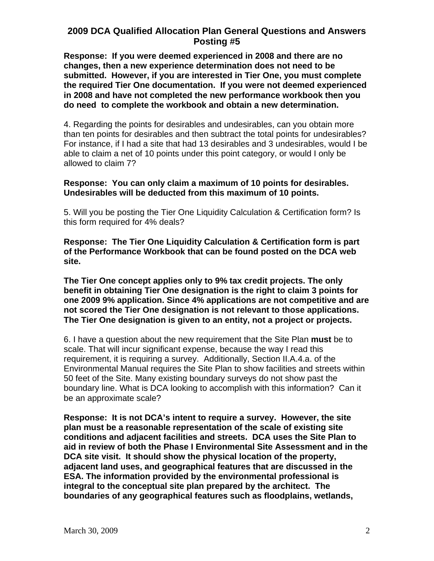**Response: If you were deemed experienced in 2008 and there are no changes, then a new experience determination does not need to be submitted. However, if you are interested in Tier One, you must complete the required Tier One documentation. If you were not deemed experienced in 2008 and have not completed the new performance workbook then you do need to complete the workbook and obtain a new determination.** 

4. Regarding the points for desirables and undesirables, can you obtain more than ten points for desirables and then subtract the total points for undesirables? For instance, if I had a site that had 13 desirables and 3 undesirables, would I be able to claim a net of 10 points under this point category, or would I only be allowed to claim 7?

### **Response: You can only claim a maximum of 10 points for desirables. Undesirables will be deducted from this maximum of 10 points.**

5. Will you be posting the Tier One Liquidity Calculation & Certification form? Is this form required for 4% deals?

**Response: The Tier One Liquidity Calculation & Certification form is part of the Performance Workbook that can be found posted on the DCA web site.** 

**The Tier One concept applies only to 9% tax credit projects. The only benefit in obtaining Tier One designation is the right to claim 3 points for one 2009 9% application. Since 4% applications are not competitive and are not scored the Tier One designation is not relevant to those applications. The Tier One designation is given to an entity, not a project or projects.** 

6. I have a question about the new requirement that the Site Plan **must** be to scale. That will incur significant expense, because the way I read this requirement, it is requiring a survey. Additionally, Section II.A.4.a. of the Environmental Manual requires the Site Plan to show facilities and streets within 50 feet of the Site. Many existing boundary surveys do not show past the boundary line. What is DCA looking to accomplish with this information? Can it be an approximate scale?

**Response: It is not DCA's intent to require a survey. However, the site plan must be a reasonable representation of the scale of existing site conditions and adjacent facilities and streets. DCA uses the Site Plan to aid in review of both the Phase I Environmental Site Assessment and in the DCA site visit. It should show the physical location of the property, adjacent land uses, and geographical features that are discussed in the ESA. The information provided by the environmental professional is integral to the conceptual site plan prepared by the architect. The boundaries of any geographical features such as floodplains, wetlands,**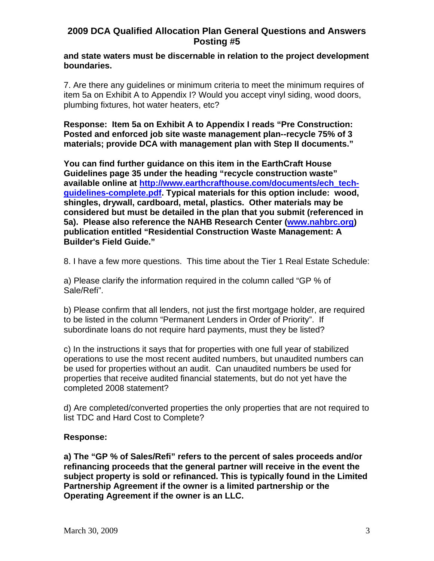#### **and state waters must be discernable in relation to the project development boundaries.**

7. Are there any guidelines or minimum criteria to meet the minimum requires of item 5a on Exhibit A to Appendix I? Would you accept vinyl siding, wood doors, plumbing fixtures, hot water heaters, etc?

**Response: Item 5a on Exhibit A to Appendix I reads "Pre Construction: Posted and enforced job site waste management plan--recycle 75% of 3 materials; provide DCA with management plan with Step II documents."** 

**You can find further guidance on this item in the EarthCraft House Guidelines page 35 under the heading "recycle construction waste" available online at [http://www.earthcrafthouse.com/documents/ech\\_tech](http://www.earthcrafthouse.com/documents/ech_tech-guidelines-complete.pdf)[guidelines-complete.pdf](http://www.earthcrafthouse.com/documents/ech_tech-guidelines-complete.pdf). Typical materials for this option include: wood, shingles, drywall, cardboard, metal, plastics. Other materials may be considered but must be detailed in the plan that you submit (referenced in 5a). Please also reference the NAHB Research Center [\(www.nahbrc.org](http://www.nahbrc.org/)) publication entitled "Residential Construction Waste Management: A Builder's Field Guide."** 

8. I have a few more questions. This time about the Tier 1 Real Estate Schedule:

a) Please clarify the information required in the column called "GP % of Sale/Refi".

b) Please confirm that all lenders, not just the first mortgage holder, are required to be listed in the column "Permanent Lenders in Order of Priority". If subordinate loans do not require hard payments, must they be listed?

c) In the instructions it says that for properties with one full year of stabilized operations to use the most recent audited numbers, but unaudited numbers can be used for properties without an audit. Can unaudited numbers be used for properties that receive audited financial statements, but do not yet have the completed 2008 statement?

d) Are completed/converted properties the only properties that are not required to list TDC and Hard Cost to Complete?

## **Response:**

**a) The "GP % of Sales/Refi" refers to the percent of sales proceeds and/or refinancing proceeds that the general partner will receive in the event the subject property is sold or refinanced. This is typically found in the Limited Partnership Agreement if the owner is a limited partnership or the Operating Agreement if the owner is an LLC.**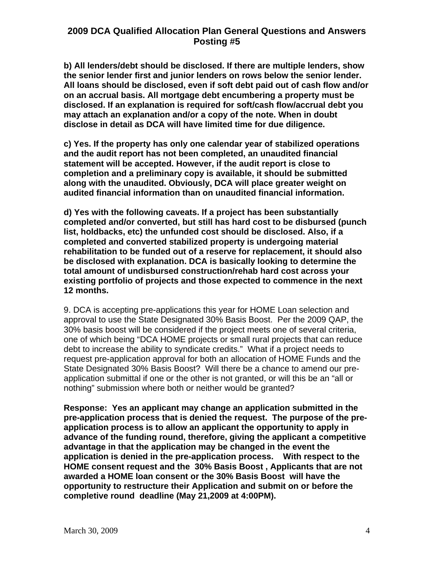**b) All lenders/debt should be disclosed. If there are multiple lenders, show the senior lender first and junior lenders on rows below the senior lender. All loans should be disclosed, even if soft debt paid out of cash flow and/or on an accrual basis. All mortgage debt encumbering a property must be disclosed. If an explanation is required for soft/cash flow/accrual debt you may attach an explanation and/or a copy of the note. When in doubt disclose in detail as DCA will have limited time for due diligence.** 

**c) Yes. If the property has only one calendar year of stabilized operations and the audit report has not been completed, an unaudited financial statement will be accepted. However, if the audit report is close to completion and a preliminary copy is available, it should be submitted along with the unaudited. Obviously, DCA will place greater weight on audited financial information than on unaudited financial information.** 

**d) Yes with the following caveats. If a project has been substantially completed and/or converted, but still has hard cost to be disbursed (punch list, holdbacks, etc) the unfunded cost should be disclosed. Also, if a completed and converted stabilized property is undergoing material rehabilitation to be funded out of a reserve for replacement, it should also be disclosed with explanation. DCA is basically looking to determine the total amount of undisbursed construction/rehab hard cost across your existing portfolio of projects and those expected to commence in the next 12 months.** 

9. DCA is accepting pre-applications this year for HOME Loan selection and approval to use the State Designated 30% Basis Boost. Per the 2009 QAP, the 30% basis boost will be considered if the project meets one of several criteria, one of which being "DCA HOME projects or small rural projects that can reduce debt to increase the ability to syndicate credits." What if a project needs to request pre-application approval for both an allocation of HOME Funds and the State Designated 30% Basis Boost? Will there be a chance to amend our preapplication submittal if one or the other is not granted, or will this be an "all or nothing" submission where both or neither would be granted?

**Response: Yes an applicant may change an application submitted in the pre-application process that is denied the request. The purpose of the preapplication process is to allow an applicant the opportunity to apply in advance of the funding round, therefore, giving the applicant a competitive advantage in that the application may be changed in the event the application is denied in the pre-application process. With respect to the HOME consent request and the 30% Basis Boost , Applicants that are not awarded a HOME loan consent or the 30% Basis Boost will have the opportunity to restructure their Application and submit on or before the completive round deadline (May 21,2009 at 4:00PM).**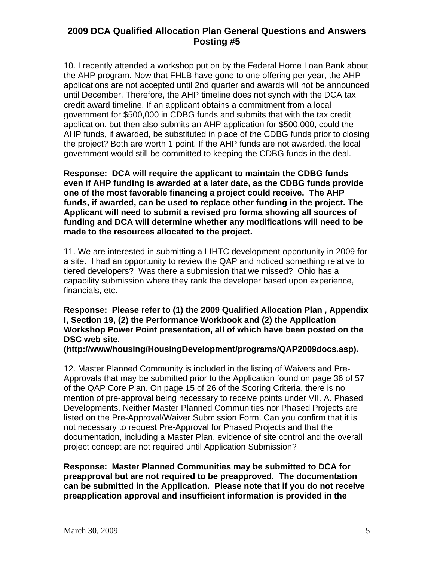10. I recently attended a workshop put on by the Federal Home Loan Bank about the AHP program. Now that FHLB have gone to one offering per year, the AHP applications are not accepted until 2nd quarter and awards will not be announced until December. Therefore, the AHP timeline does not synch with the DCA tax credit award timeline. If an applicant obtains a commitment from a local government for \$500,000 in CDBG funds and submits that with the tax credit application, but then also submits an AHP application for \$500,000, could the AHP funds, if awarded, be substituted in place of the CDBG funds prior to closing the project? Both are worth 1 point. If the AHP funds are not awarded, the local government would still be committed to keeping the CDBG funds in the deal.

**Response: DCA will require the applicant to maintain the CDBG funds even if AHP funding is awarded at a later date, as the CDBG funds provide one of the most favorable financing a project could receive. The AHP funds, if awarded, can be used to replace other funding in the project. The Applicant will need to submit a revised pro forma showing all sources of funding and DCA will determine whether any modifications will need to be made to the resources allocated to the project.** 

11. We are interested in submitting a LIHTC development opportunity in 2009 for a site. I had an opportunity to review the QAP and noticed something relative to tiered developers? Was there a submission that we missed? Ohio has a capability submission where they rank the developer based upon experience, financials, etc.

**Response: Please refer to (1) the 2009 Qualified Allocation Plan , Appendix I, Section 19, (2) the Performance Workbook and (2) the Application Workshop Power Point presentation, all of which have been posted on the DSC web site.** 

**(http://www/housing/HousingDevelopment/programs/QAP2009docs.asp).** 

12. Master Planned Community is included in the listing of Waivers and Pre-Approvals that may be submitted prior to the Application found on page 36 of 57 of the QAP Core Plan. On page 15 of 26 of the Scoring Criteria, there is no mention of pre-approval being necessary to receive points under VII. A. Phased Developments. Neither Master Planned Communities nor Phased Projects are listed on the Pre-Approval/Waiver Submission Form. Can you confirm that it is not necessary to request Pre-Approval for Phased Projects and that the documentation, including a Master Plan, evidence of site control and the overall project concept are not required until Application Submission?

**Response: Master Planned Communities may be submitted to DCA for preapproval but are not required to be preapproved. The documentation can be submitted in the Application. Please note that if you do not receive preapplication approval and insufficient information is provided in the**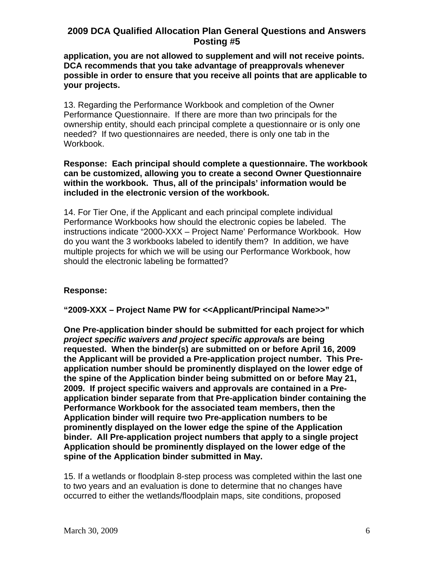**application, you are not allowed to supplement and will not receive points. DCA recommends that you take advantage of preapprovals whenever possible in order to ensure that you receive all points that are applicable to your projects.** 

13. Regarding the Performance Workbook and completion of the Owner Performance Questionnaire. If there are more than two principals for the ownership entity, should each principal complete a questionnaire or is only one needed? If two questionnaires are needed, there is only one tab in the Workbook.

### **Response: Each principal should complete a questionnaire. The workbook can be customized, allowing you to create a second Owner Questionnaire within the workbook. Thus, all of the principals' information would be included in the electronic version of the workbook.**

14. For Tier One, if the Applicant and each principal complete individual Performance Workbooks how should the electronic copies be labeled. The instructions indicate "2000-XXX – Project Name' Performance Workbook. How do you want the 3 workbooks labeled to identify them? In addition, we have multiple projects for which we will be using our Performance Workbook, how should the electronic labeling be formatted?

# **Response:**

**"2009-XXX – Project Name PW for <<Applicant/Principal Name>>"** 

**One Pre-application binder should be submitted for each project for which**  *project specific waivers and project specific approval***s are being requested. When the binder(s) are submitted on or before April 16, 2009 the Applicant will be provided a Pre-application project number. This Preapplication number should be prominently displayed on the lower edge of the spine of the Application binder being submitted on or before May 21, 2009. If project specific waivers and approvals are contained in a Preapplication binder separate from that Pre-application binder containing the Performance Workbook for the associated team members, then the Application binder will require two Pre-application numbers to be prominently displayed on the lower edge the spine of the Application binder. All Pre-application project numbers that apply to a single project Application should be prominently displayed on the lower edge of the spine of the Application binder submitted in May.** 

15. If a wetlands or floodplain 8-step process was completed within the last one to two years and an evaluation is done to determine that no changes have occurred to either the wetlands/floodplain maps, site conditions, proposed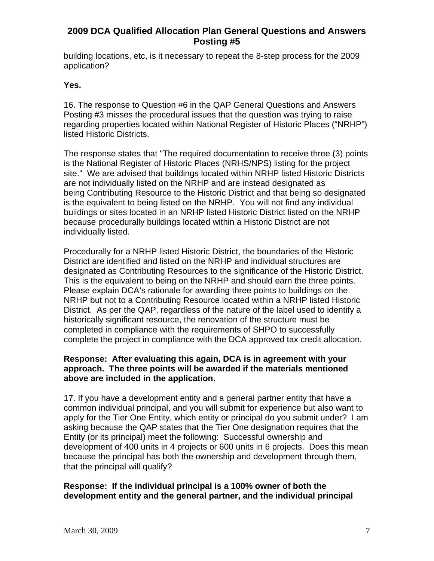building locations, etc, is it necessary to repeat the 8-step process for the 2009 application?

# **Yes.**

16. The response to Question #6 in the QAP General Questions and Answers Posting #3 misses the procedural issues that the question was trying to raise regarding properties located within National Register of Historic Places ("NRHP") listed Historic Districts.

The response states that "The required documentation to receive three (3) points is the National Register of Historic Places (NRHS/NPS) listing for the project site." We are advised that buildings located within NRHP listed Historic Districts are not individually listed on the NRHP and are instead designated as being Contributing Resource to the Historic District and that being so designated is the equivalent to being listed on the NRHP. You will not find any individual buildings or sites located in an NRHP listed Historic District listed on the NRHP because procedurally buildings located within a Historic District are not individually listed.

Procedurally for a NRHP listed Historic District, the boundaries of the Historic District are identified and listed on the NRHP and individual structures are designated as Contributing Resources to the significance of the Historic District. This is the equivalent to being on the NRHP and should earn the three points. Please explain DCA's rationale for awarding three points to buildings on the NRHP but not to a Contributing Resource located within a NRHP listed Historic District. As per the QAP, regardless of the nature of the label used to identify a historically significant resource, the renovation of the structure must be completed in compliance with the requirements of SHPO to successfully complete the project in compliance with the DCA approved tax credit allocation.

## **Response: After evaluating this again, DCA is in agreement with your approach. The three points will be awarded if the materials mentioned above are included in the application.**

17. If you have a development entity and a general partner entity that have a common individual principal, and you will submit for experience but also want to apply for the Tier One Entity, which entity or principal do you submit under? I am asking because the QAP states that the Tier One designation requires that the Entity (or its principal) meet the following: Successful ownership and development of 400 units in 4 projects or 600 units in 6 projects. Does this mean because the principal has both the ownership and development through them, that the principal will qualify?

# **Response: If the individual principal is a 100% owner of both the development entity and the general partner, and the individual principal**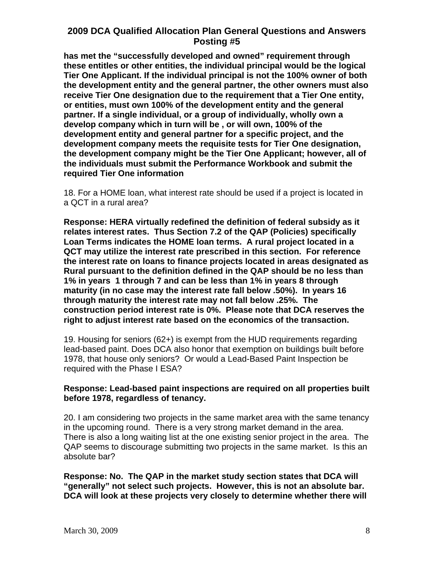**has met the "successfully developed and owned" requirement through these entitles or other entities, the individual principal would be the logical Tier One Applicant. If the individual principal is not the 100% owner of both the development entity and the general partner, the other owners must also receive Tier One designation due to the requirement that a Tier One entity, or entities, must own 100% of the development entity and the general partner. If a single individual, or a group of individually, wholly own a develop company which in turn will be , or will own, 100% of the development entity and general partner for a specific project, and the development company meets the requisite tests for Tier One designation, the development company might be the Tier One Applicant; however, all of the individuals must submit the Performance Workbook and submit the required Tier One information** 

18. For a HOME loan, what interest rate should be used if a project is located in a QCT in a rural area?

**Response: HERA virtually redefined the definition of federal subsidy as it relates interest rates. Thus Section 7.2 of the QAP (Policies) specifically Loan Terms indicates the HOME loan terms. A rural project located in a QCT may utilize the interest rate prescribed in this section. For reference the interest rate on loans to finance projects located in areas designated as Rural pursuant to the definition defined in the QAP should be no less than 1% in years 1 through 7 and can be less than 1% in years 8 through maturity (in no case may the interest rate fall below .50%). In years 16 through maturity the interest rate may not fall below .25%. The construction period interest rate is 0%. Please note that DCA reserves the right to adjust interest rate based on the economics of the transaction.** 

19. Housing for seniors (62+) is exempt from the HUD requirements regarding lead-based paint. Does DCA also honor that exemption on buildings built before 1978, that house only seniors? Or would a Lead-Based Paint Inspection be required with the Phase I ESA?

## **Response: Lead-based paint inspections are required on all properties built before 1978, regardless of tenancy.**

20. I am considering two projects in the same market area with the same tenancy in the upcoming round. There is a very strong market demand in the area. There is also a long waiting list at the one existing senior project in the area. The QAP seems to discourage submitting two projects in the same market. Is this an absolute bar?

**Response: No. The QAP in the market study section states that DCA will "generally" not select such projects. However, this is not an absolute bar. DCA will look at these projects very closely to determine whether there will**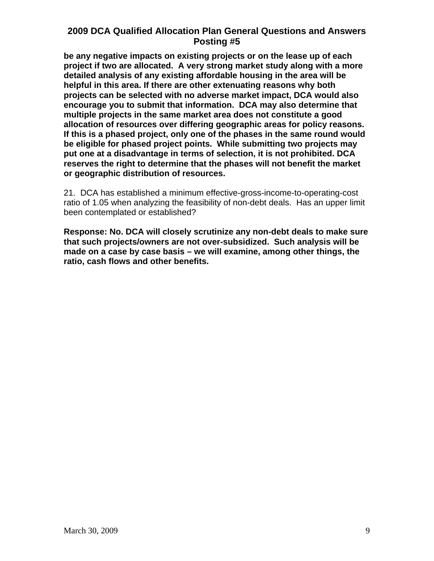**be any negative impacts on existing projects or on the lease up of each project if two are allocated. A very strong market study along with a more detailed analysis of any existing affordable housing in the area will be helpful in this area. If there are other extenuating reasons why both projects can be selected with no adverse market impact, DCA would also encourage you to submit that information. DCA may also determine that multiple projects in the same market area does not constitute a good allocation of resources over differing geographic areas for policy reasons. If this is a phased project, only one of the phases in the same round would be eligible for phased project points. While submitting two projects may put one at a disadvantage in terms of selection, it is not prohibited. DCA reserves the right to determine that the phases will not benefit the market or geographic distribution of resources.** 

21. DCA has established a minimum effective-gross-income-to-operating-cost ratio of 1.05 when analyzing the feasibility of non-debt deals. Has an upper limit been contemplated or established?

**Response: No. DCA will closely scrutinize any non-debt deals to make sure that such projects/owners are not over-subsidized. Such analysis will be made on a case by case basis – we will examine, among other things, the ratio, cash flows and other benefits.**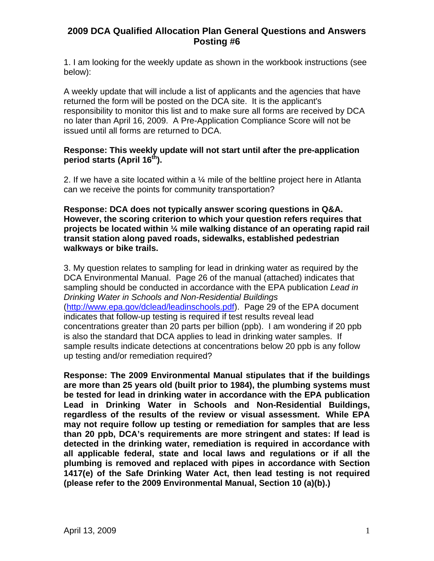1. I am looking for the weekly update as shown in the workbook instructions (see below):

A weekly update that will include a list of applicants and the agencies that have returned the form will be posted on the DCA site. It is the applicant's responsibility to monitor this list and to make sure all forms are received by DCA no later than April 16, 2009. A Pre-Application Compliance Score will not be issued until all forms are returned to DCA.

# **Response: This weekly update will not start until after the pre-application period starts (April 16th).**

2. If we have a site located within a  $\frac{1}{4}$  mile of the beltline project here in Atlanta can we receive the points for community transportation?

**Response: DCA does not typically answer scoring questions in Q&A. However, the scoring criterion to which your question refers requires that projects be located within ¼ mile walking distance of an operating rapid rail transit station along paved roads, sidewalks, established pedestrian walkways or bike trails.** 

3. My question relates to sampling for lead in drinking water as required by the DCA Environmental Manual. Page 26 of the manual (attached) indicates that sampling should be conducted in accordance with the EPA publication *Lead in Drinking Water in Schools and Non-Residential Buildings* ([http://www.epa.gov/dclead/leadinschools.pdf\)](http://www.epa.gov/dclead/leadinschools.pdf). Page 29 of the EPA document indicates that follow-up testing is required if test results reveal lead concentrations greater than 20 parts per billion (ppb). I am wondering if 20 ppb is also the standard that DCA applies to lead in drinking water samples. If sample results indicate detections at concentrations below 20 ppb is any follow up testing and/or remediation required?

**Response: The 2009 Environmental Manual stipulates that if the buildings are more than 25 years old (built prior to 1984), the plumbing systems must be tested for lead in drinking water in accordance with the EPA publication Lead in Drinking Water in Schools and Non-Residential Buildings, regardless of the results of the review or visual assessment. While EPA may not require follow up testing or remediation for samples that are less than 20 ppb, DCA's requirements are more stringent and states: If lead is detected in the drinking water, remediation is required in accordance with all applicable federal, state and local laws and regulations or if all the plumbing is removed and replaced with pipes in accordance with Section 1417(e) of the Safe Drinking Water Act, then lead testing is not required (please refer to the 2009 Environmental Manual, Section 10 (a)(b).)**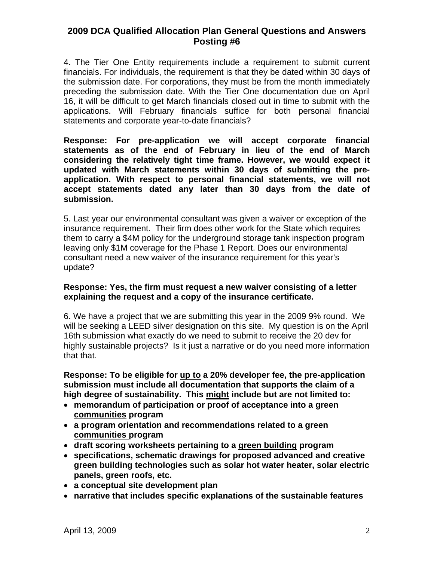4. The Tier One Entity requirements include a requirement to submit current financials. For individuals, the requirement is that they be dated within 30 days of the submission date. For corporations, they must be from the month immediately preceding the submission date. With the Tier One documentation due on April 16, it will be difficult to get March financials closed out in time to submit with the applications. Will February financials suffice for both personal financial statements and corporate year-to-date financials?

**Response: For pre-application we will accept corporate financial statements as of the end of February in lieu of the end of March considering the relatively tight time frame. However, we would expect it updated with March statements within 30 days of submitting the preapplication. With respect to personal financial statements, we will not accept statements dated any later than 30 days from the date of submission.** 

5. Last year our environmental consultant was given a waiver or exception of the insurance requirement. Their firm does other work for the State which requires them to carry a \$4M policy for the underground storage tank inspection program leaving only \$1M coverage for the Phase 1 Report. Does our environmental consultant need a new waiver of the insurance requirement for this year's update?

#### **Response: Yes, the firm must request a new waiver consisting of a letter explaining the request and a copy of the insurance certificate.**

6. We have a project that we are submitting this year in the 2009 9% round. We will be seeking a LEED silver designation on this site. My question is on the April 16th submission what exactly do we need to submit to receive the 20 dev for highly sustainable projects? Is it just a narrative or do you need more information that that.

**Response: To be eligible for up to a 20% developer fee, the pre-application submission must include all documentation that supports the claim of a high degree of sustainability. This might include but are not limited to:** 

- **memorandum of participation or proof of acceptance into a green communities program**
- **a program orientation and recommendations related to a green communities program**
- **draft scoring worksheets pertaining to a green building program**
- **specifications, schematic drawings for proposed advanced and creative green building technologies such as solar hot water heater, solar electric panels, green roofs, etc.**
- **a conceptual site development plan**
- **narrative that includes specific explanations of the sustainable features**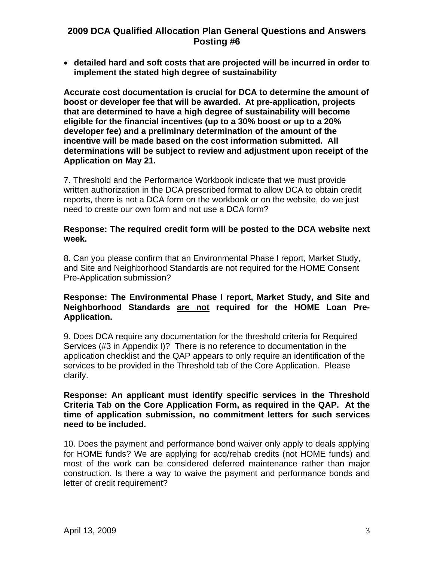• **detailed hard and soft costs that are projected will be incurred in order to implement the stated high degree of sustainability** 

**Accurate cost documentation is crucial for DCA to determine the amount of boost or developer fee that will be awarded. At pre-application, projects that are determined to have a high degree of sustainability will become eligible for the financial incentives (up to a 30% boost or up to a 20% developer fee) and a preliminary determination of the amount of the incentive will be made based on the cost information submitted. All determinations will be subject to review and adjustment upon receipt of the Application on May 21.** 

7. Threshold and the Performance Workbook indicate that we must provide written authorization in the DCA prescribed format to allow DCA to obtain credit reports, there is not a DCA form on the workbook or on the website, do we just need to create our own form and not use a DCA form?

### **Response: The required credit form will be posted to the DCA website next week.**

8. Can you please confirm that an Environmental Phase I report, Market Study, and Site and Neighborhood Standards are not required for the HOME Consent Pre-Application submission?

# **Response: The Environmental Phase I report, Market Study, and Site and Neighborhood Standards are not required for the HOME Loan Pre-Application.**

9. Does DCA require any documentation for the threshold criteria for Required Services (#3 in Appendix I)? There is no reference to documentation in the application checklist and the QAP appears to only require an identification of the services to be provided in the Threshold tab of the Core Application. Please clarify.

### **Response: An applicant must identify specific services in the Threshold Criteria Tab on the Core Application Form, as required in the QAP. At the time of application submission, no commitment letters for such services need to be included.**

10. Does the payment and performance bond waiver only apply to deals applying for HOME funds? We are applying for acq/rehab credits (not HOME funds) and most of the work can be considered deferred maintenance rather than major construction. Is there a way to waive the payment and performance bonds and letter of credit requirement?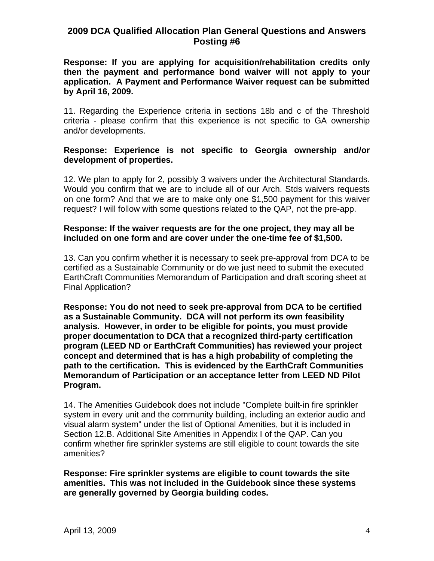**Response: If you are applying for acquisition/rehabilitation credits only then the payment and performance bond waiver will not apply to your application. A Payment and Performance Waiver request can be submitted by April 16, 2009.** 

11. Regarding the Experience criteria in sections 18b and c of the Threshold criteria - please confirm that this experience is not specific to GA ownership and/or developments.

## **Response: Experience is not specific to Georgia ownership and/or development of properties.**

12. We plan to apply for 2, possibly 3 waivers under the Architectural Standards. Would you confirm that we are to include all of our Arch. Stds waivers requests on one form? And that we are to make only one \$1,500 payment for this waiver request? I will follow with some questions related to the QAP, not the pre-app.

### **Response: If the waiver requests are for the one project, they may all be included on one form and are cover under the one-time fee of \$1,500.**

13. Can you confirm whether it is necessary to seek pre-approval from DCA to be certified as a Sustainable Community or do we just need to submit the executed EarthCraft Communities Memorandum of Participation and draft scoring sheet at Final Application?

**Response: You do not need to seek pre-approval from DCA to be certified as a Sustainable Community. DCA will not perform its own feasibility analysis. However, in order to be eligible for points, you must provide proper documentation to DCA that a recognized third-party certification program (LEED ND or EarthCraft Communities) has reviewed your project concept and determined that is has a high probability of completing the path to the certification. This is evidenced by the EarthCraft Communities Memorandum of Participation or an acceptance letter from LEED ND Pilot Program.** 

14. The Amenities Guidebook does not include "Complete built-in fire sprinkler system in every unit and the community building, including an exterior audio and visual alarm system" under the list of Optional Amenities, but it is included in Section 12.B. Additional Site Amenities in Appendix I of the QAP. Can you confirm whether fire sprinkler systems are still eligible to count towards the site amenities?

**Response: Fire sprinkler systems are eligible to count towards the site amenities. This was not included in the Guidebook since these systems are generally governed by Georgia building codes.**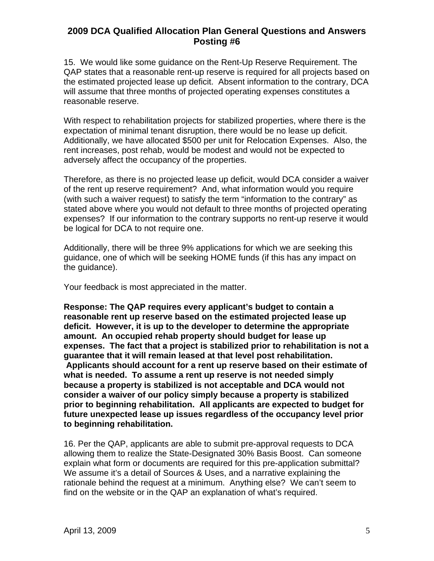15. We would like some guidance on the Rent-Up Reserve Requirement. The QAP states that a reasonable rent-up reserve is required for all projects based on the estimated projected lease up deficit. Absent information to the contrary, DCA will assume that three months of projected operating expenses constitutes a reasonable reserve.

With respect to rehabilitation projects for stabilized properties, where there is the expectation of minimal tenant disruption, there would be no lease up deficit. Additionally, we have allocated \$500 per unit for Relocation Expenses. Also, the rent increases, post rehab, would be modest and would not be expected to adversely affect the occupancy of the properties.

Therefore, as there is no projected lease up deficit, would DCA consider a waiver of the rent up reserve requirement? And, what information would you require (with such a waiver request) to satisfy the term "information to the contrary" as stated above where you would not default to three months of projected operating expenses? If our information to the contrary supports no rent-up reserve it would be logical for DCA to not require one.

Additionally, there will be three 9% applications for which we are seeking this guidance, one of which will be seeking HOME funds (if this has any impact on the guidance).

Your feedback is most appreciated in the matter.

**Response: The QAP requires every applicant's budget to contain a reasonable rent up reserve based on the estimated projected lease up deficit. However, it is up to the developer to determine the appropriate amount. An occupied rehab property should budget for lease up expenses. The fact that a project is stabilized prior to rehabilitation is not a guarantee that it will remain leased at that level post rehabilitation. Applicants should account for a rent up reserve based on their estimate of what is needed. To assume a rent up reserve is not needed simply because a property is stabilized is not acceptable and DCA would not consider a waiver of our policy simply because a property is stabilized prior to beginning rehabilitation. All applicants are expected to budget for future unexpected lease up issues regardless of the occupancy level prior to beginning rehabilitation.** 

16. Per the QAP, applicants are able to submit pre-approval requests to DCA allowing them to realize the State-Designated 30% Basis Boost. Can someone explain what form or documents are required for this pre-application submittal? We assume it's a detail of Sources & Uses, and a narrative explaining the rationale behind the request at a minimum. Anything else? We can't seem to find on the website or in the QAP an explanation of what's required.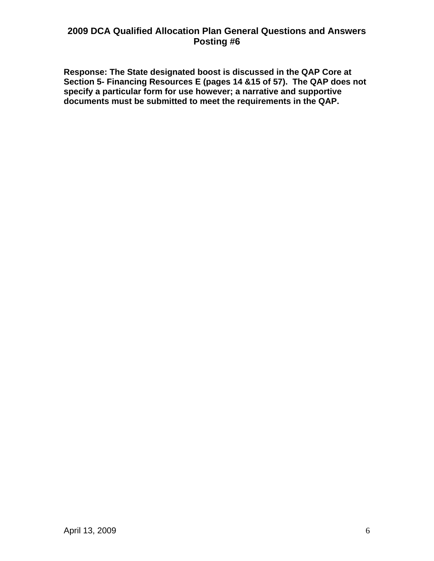**Response: The State designated boost is discussed in the QAP Core at Section 5- Financing Resources E (pages 14 &15 of 57). The QAP does not specify a particular form for use however; a narrative and supportive documents must be submitted to meet the requirements in the QAP.**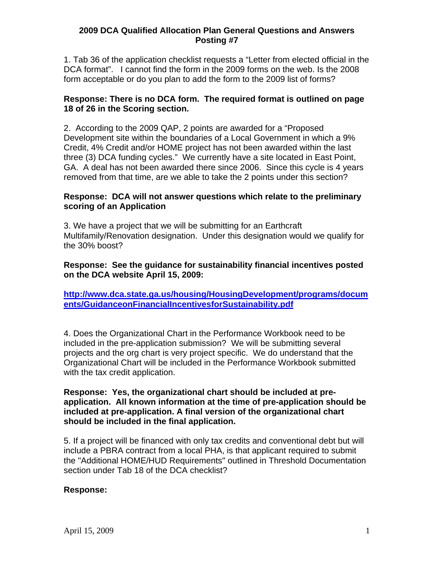1. Tab 36 of the application checklist requests a "Letter from elected official in the DCA format". I cannot find the form in the 2009 forms on the web. Is the 2008 form acceptable or do you plan to add the form to the 2009 list of forms?

## **Response: There is no DCA form. The required format is outlined on page 18 of 26 in the Scoring section.**

2. According to the 2009 QAP, 2 points are awarded for a "Proposed Development site within the boundaries of a Local Government in which a 9% Credit, 4% Credit and/or HOME project has not been awarded within the last three (3) DCA funding cycles." We currently have a site located in East Point, GA. A deal has not been awarded there since 2006. Since this cycle is 4 years removed from that time, are we able to take the 2 points under this section?

## **Response: DCA will not answer questions which relate to the preliminary scoring of an Application**

3. We have a project that we will be submitting for an Earthcraft Multifamily/Renovation designation. Under this designation would we qualify for the 30% boost?

# **Response: See the guidance for sustainability financial incentives posted on the DCA website April 15, 2009:**

**[http://www.dca.state.ga.us/housing/HousingDevelopment/programs/docum](http://www.dca.state.ga.us/housing/HousingDevelopment/programs/documents/GuidanceonFinancialIncentivesforSustainability.pdf) [ents/GuidanceonFinancialIncentivesforSustainability.pdf](http://www.dca.state.ga.us/housing/HousingDevelopment/programs/documents/GuidanceonFinancialIncentivesforSustainability.pdf)**

4. Does the Organizational Chart in the Performance Workbook need to be included in the pre-application submission? We will be submitting several projects and the org chart is very project specific. We do understand that the Organizational Chart will be included in the Performance Workbook submitted with the tax credit application.

### **Response: Yes, the organizational chart should be included at preapplication. All known information at the time of pre-application should be included at pre-application. A final version of the organizational chart should be included in the final application.**

5. If a project will be financed with only tax credits and conventional debt but will include a PBRA contract from a local PHA, is that applicant required to submit the "Additional HOME/HUD Requirements" outlined in Threshold Documentation section under Tab 18 of the DCA checklist?

## **Response:**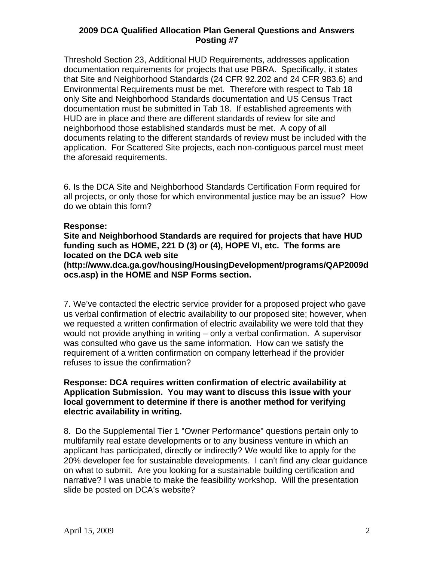Threshold Section 23, Additional HUD Requirements, addresses application documentation requirements for projects that use PBRA. Specifically, it states that Site and Neighborhood Standards (24 CFR 92.202 and 24 CFR 983.6) and Environmental Requirements must be met. Therefore with respect to Tab 18 only Site and Neighborhood Standards documentation and US Census Tract documentation must be submitted in Tab 18. If established agreements with HUD are in place and there are different standards of review for site and neighborhood those established standards must be met. A copy of all documents relating to the different standards of review must be included with the application. For Scattered Site projects, each non-contiguous parcel must meet the aforesaid requirements.

6. Is the DCA Site and Neighborhood Standards Certification Form required for all projects, or only those for which environmental justice may be an issue? How do we obtain this form?

#### **Response:**

**Site and Neighborhood Standards are required for projects that have HUD funding such as HOME, 221 D (3) or (4), HOPE VI, etc. The forms are located on the DCA web site** 

**(http://www.dca.ga.gov/housing/HousingDevelopment/programs/QAP2009d ocs.asp) in the HOME and NSP Forms section.**

7. We've contacted the electric service provider for a proposed project who gave us verbal confirmation of electric availability to our proposed site; however, when we requested a written confirmation of electric availability we were told that they would not provide anything in writing – only a verbal confirmation. A supervisor was consulted who gave us the same information. How can we satisfy the requirement of a written confirmation on company letterhead if the provider refuses to issue the confirmation?

### **Response: DCA requires written confirmation of electric availability at Application Submission. You may want to discuss this issue with your local government to determine if there is another method for verifying electric availability in writing.**

8. Do the Supplemental Tier 1 "Owner Performance" questions pertain only to multifamily real estate developments or to any business venture in which an applicant has participated, directly or indirectly? We would like to apply for the 20% developer fee for sustainable developments. I can't find any clear guidance on what to submit. Are you looking for a sustainable building certification and narrative? I was unable to make the feasibility workshop. Will the presentation slide be posted on DCA's website?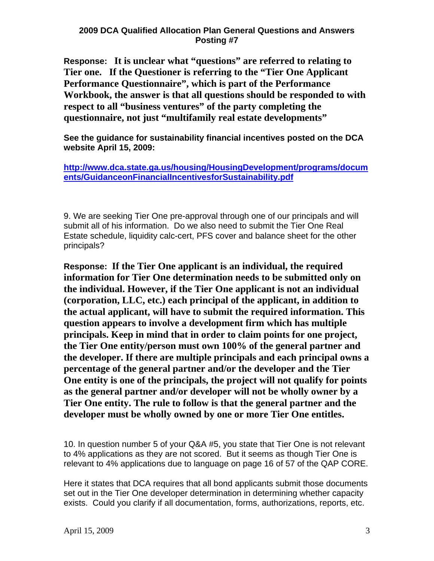**Response: It is unclear what "questions" are referred to relating to Tier one. If the Questioner is referring to the "Tier One Applicant Performance Questionnaire", which is part of the Performance Workbook, the answer is that all questions should be responded to with respect to all "business ventures" of the party completing the questionnaire, not just "multifamily real estate developments"**

**See the guidance for sustainability financial incentives posted on the DCA website April 15, 2009:** 

**[http://www.dca.state.ga.us/housing/HousingDevelopment/programs/docum](http://www.dca.state.ga.us/housing/HousingDevelopment/programs/documents/GuidanceonFinancialIncentivesforSustainability.pdf) [ents/GuidanceonFinancialIncentivesforSustainability.pdf](http://www.dca.state.ga.us/housing/HousingDevelopment/programs/documents/GuidanceonFinancialIncentivesforSustainability.pdf)**

9. We are seeking Tier One pre-approval through one of our principals and will submit all of his information. Do we also need to submit the Tier One Real Estate schedule, liquidity calc-cert, PFS cover and balance sheet for the other principals?

**Response: If the Tier One applicant is an individual, the required information for Tier One determination needs to be submitted only on the individual. However, if the Tier One applicant is not an individual (corporation, LLC, etc.) each principal of the applicant, in addition to the actual applicant, will have to submit the required information. This question appears to involve a development firm which has multiple principals. Keep in mind that in order to claim points for one project, the Tier One entity/person must own 100% of the general partner and the developer. If there are multiple principals and each principal owns a percentage of the general partner and/or the developer and the Tier One entity is one of the principals, the project will not qualify for points as the general partner and/or developer will not be wholly owner by a Tier One entity. The rule to follow is that the general partner and the developer must be wholly owned by one or more Tier One entitles.** 

10. In question number 5 of your Q&A #5, you state that Tier One is not relevant to 4% applications as they are not scored. But it seems as though Tier One is relevant to 4% applications due to language on page 16 of 57 of the QAP CORE.

Here it states that DCA requires that all bond applicants submit those documents set out in the Tier One developer determination in determining whether capacity exists. Could you clarify if all documentation, forms, authorizations, reports, etc.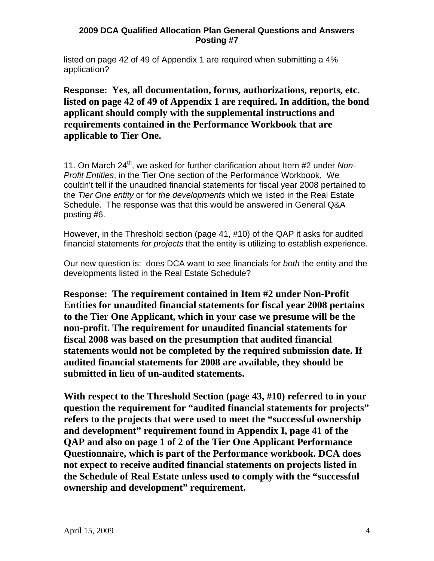listed on page 42 of 49 of Appendix 1 are required when submitting a 4% application?

**Response: Yes, all documentation, forms, authorizations, reports, etc. listed on page 42 of 49 of Appendix 1 are required. In addition, the bond applicant should comply with the supplemental instructions and requirements contained in the Performance Workbook that are applicable to Tier One.** 

11. On March 24<sup>th</sup>, we asked for further clarification about Item #2 under *Non-Profit Entities*, in the Tier One section of the Performance Workbook. We couldn't tell if the unaudited financial statements for fiscal year 2008 pertained to the *Tier One entity* or for *the developments* which we listed in the Real Estate Schedule. The response was that this would be answered in General Q&A posting #6.

However, in the Threshold section (page 41, #10) of the QAP it asks for audited financial statements *for projects* that the entity is utilizing to establish experience.

Our new question is: does DCA want to see financials for *both* the entity and the developments listed in the Real Estate Schedule?

**Response: The requirement contained in Item #2 under Non-Profit Entities for unaudited financial statements for fiscal year 2008 pertains to the Tier One Applicant, which in your case we presume will be the non-profit. The requirement for unaudited financial statements for fiscal 2008 was based on the presumption that audited financial statements would not be completed by the required submission date. If audited financial statements for 2008 are available, they should be submitted in lieu of un-audited statements.** 

**With respect to the Threshold Section (page 43, #10) referred to in your question the requirement for "audited financial statements for projects" refers to the projects that were used to meet the "successful ownership and development" requirement found in Appendix I, page 41 of the QAP and also on page 1 of 2 of the Tier One Applicant Performance Questionnaire, which is part of the Performance workbook. DCA does not expect to receive audited financial statements on projects listed in the Schedule of Real Estate unless used to comply with the "successful ownership and development" requirement.**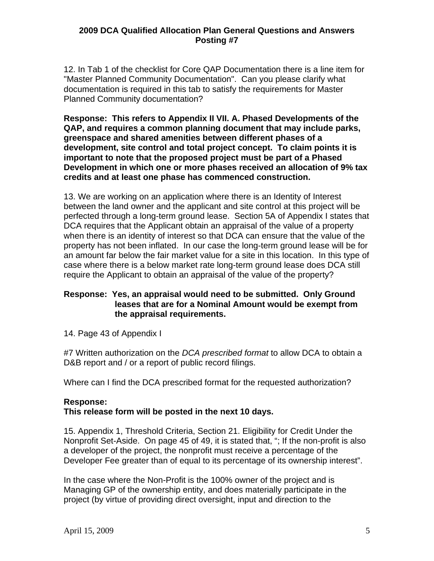12. In Tab 1 of the checklist for Core QAP Documentation there is a line item for "Master Planned Community Documentation". Can you please clarify what documentation is required in this tab to satisfy the requirements for Master Planned Community documentation?

**Response: This refers to Appendix II VII. A. Phased Developments of the QAP, and requires a common planning document that may include parks, greenspace and shared amenities between different phases of a development, site control and total project concept. To claim points it is important to note that the proposed project must be part of a Phased Development in which one or more phases received an allocation of 9% tax credits and at least one phase has commenced construction.** 

13. We are working on an application where there is an Identity of Interest between the land owner and the applicant and site control at this project will be perfected through a long-term ground lease. Section 5A of Appendix I states that DCA requires that the Applicant obtain an appraisal of the value of a property when there is an identity of interest so that DCA can ensure that the value of the property has not been inflated. In our case the long-term ground lease will be for an amount far below the fair market value for a site in this location. In this type of case where there is a below market rate long-term ground lease does DCA still require the Applicant to obtain an appraisal of the value of the property?

## **Response: Yes, an appraisal would need to be submitted. Only Ground leases that are for a Nominal Amount would be exempt from the appraisal requirements.**

14. Page 43 of Appendix I

#7 Written authorization on the *DCA prescribed format* to allow DCA to obtain a D&B report and / or a report of public record filings.

Where can I find the DCA prescribed format for the requested authorization?

## **Response:**

## **This release form will be posted in the next 10 days.**

15. Appendix 1, Threshold Criteria, Section 21. Eligibility for Credit Under the Nonprofit Set-Aside. On page 45 of 49, it is stated that, "; If the non-profit is also a developer of the project, the nonprofit must receive a percentage of the Developer Fee greater than of equal to its percentage of its ownership interest".

In the case where the Non-Profit is the 100% owner of the project and is Managing GP of the ownership entity, and does materially participate in the project (by virtue of providing direct oversight, input and direction to the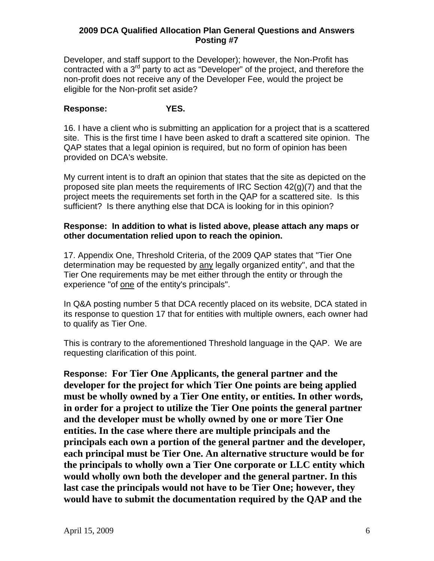Developer, and staff support to the Developer); however, the Non-Profit has contracted with a 3<sup>rd</sup> party to act as "Developer" of the project, and therefore the non-profit does not receive any of the Developer Fee, would the project be eligible for the Non-profit set aside?

# **Response: YES.**

16. I have a client who is submitting an application for a project that is a scattered site. This is the first time I have been asked to draft a scattered site opinion. The QAP states that a legal opinion is required, but no form of opinion has been provided on DCA's website.

My current intent is to draft an opinion that states that the site as depicted on the proposed site plan meets the requirements of IRC Section 42(g)(7) and that the project meets the requirements set forth in the QAP for a scattered site. Is this sufficient? Is there anything else that DCA is looking for in this opinion?

#### **Response: In addition to what is listed above, please attach any maps or other documentation relied upon to reach the opinion.**

17. Appendix One, Threshold Criteria, of the 2009 QAP states that "Tier One determination may be requested by any legally organized entity", and that the Tier One requirements may be met either through the entity or through the experience "of one of the entity's principals".

In Q&A posting number 5 that DCA recently placed on its website, DCA stated in its response to question 17 that for entities with multiple owners, each owner had to qualify as Tier One.

This is contrary to the aforementioned Threshold language in the QAP. We are requesting clarification of this point.

**Response: For Tier One Applicants, the general partner and the developer for the project for which Tier One points are being applied must be wholly owned by a Tier One entity, or entities. In other words, in order for a project to utilize the Tier One points the general partner and the developer must be wholly owned by one or more Tier One entities. In the case where there are multiple principals and the principals each own a portion of the general partner and the developer, each principal must be Tier One. An alternative structure would be for the principals to wholly own a Tier One corporate or LLC entity which would wholly own both the developer and the general partner. In this last case the principals would not have to be Tier One; however, they would have to submit the documentation required by the QAP and the**